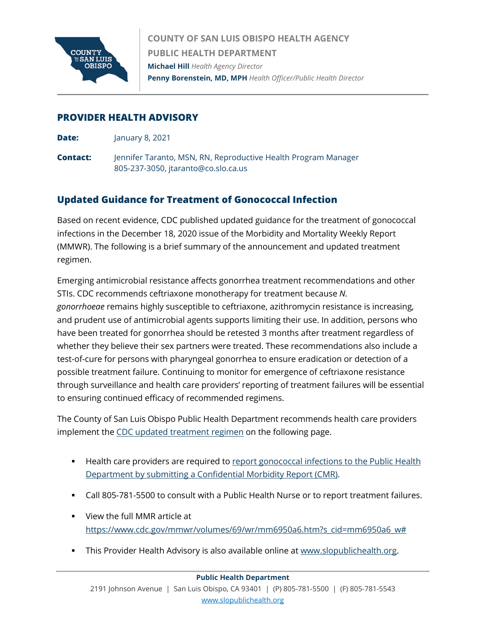

**COUNTY OF SAN LUIS OBISPO HEALTH AGENCY PUBLIC HEALTH DEPARTMENT Michael Hill** *Health Agency Director* **Penny Borenstein, MD, MPH** *Health Officer/Public Health Director*

### **PROVIDER HEALTH ADVISORY**

- **Date:** January 8, 2021
- **Contact:** Jennifer Taranto, MSN, RN, Reproductive Health Program Manager 805-237-3050, jtaranto@co.slo.ca.us

# **Updated Guidance for Treatment of Gonococcal Infection**

Based on recent evidence, CDC published updated guidance for the treatment of gonococcal infections in the December 18, 2020 issue of the Morbidity and Mortality Weekly Report (MMWR). The following is a brief summary of the announcement and updated treatment regimen.

Emerging antimicrobial resistance affects gonorrhea treatment recommendations and other STIs. CDC recommends ceftriaxone monotherapy for treatment because *N. gonorrhoeae* remains highly susceptible to ceftriaxone, azithromycin resistance is increasing, and prudent use of antimicrobial agents supports limiting their use. In addition, persons who have been treated for gonorrhea should be retested 3 months after treatment regardless of whether they believe their sex partners were treated. These recommendations also include a test-of-cure for persons with pharyngeal gonorrhea to ensure eradication or detection of a possible treatment failure. Continuing to monitor for emergence of ceftriaxone resistance through surveillance and health care providers' reporting of treatment failures will be essential to ensuring continued efficacy of recommended regimens.

The County of San Luis Obispo Public Health Department recommends health care providers implement th[e CDC updated treatment regimen](https://www.cdc.gov/mmwr/volumes/69/wr/mm6950a6.htm?ACSTrackingID=USCDC_426-DM45331&ACSTrackingLabel=CDC%20Released%20Updated%20Gonorrhea%20Treatment%20Recommendations&deliveryName=USCDC_426-DM45331) on the following page.

- **Health care providers are required to report gonococcal infections to the Public Health** [Department by submitting a Confidential Morbidity Report \(CMR\).](https://www.slocounty.ca.gov/Departments/Health-Agency/Public-Health/All-Public-Health-Services/Disease-Reporting-for-Healthcare-Providers-and-Lab.aspx)
- Call 805-781-5500 to consult with a Public Health Nurse or to report treatment failures.
- View the full MMR article at [https://www.cdc.gov/mmwr/volumes/69/wr/mm6950a6.htm?s\\_cid=mm6950a6\\_w#](https://www.cdc.gov/mmwr/volumes/69/wr/mm6950a6.htm?s_cid=mm6950a6_w)
- This Provider Health Advisory is also available online a[t www.slopublichealth.org.](https://www.slocounty.ca.gov/Departments/Health-Agency/Public-Health/Forms-Documents/For-Healthcare-Providers/Provider-Notices.aspx)